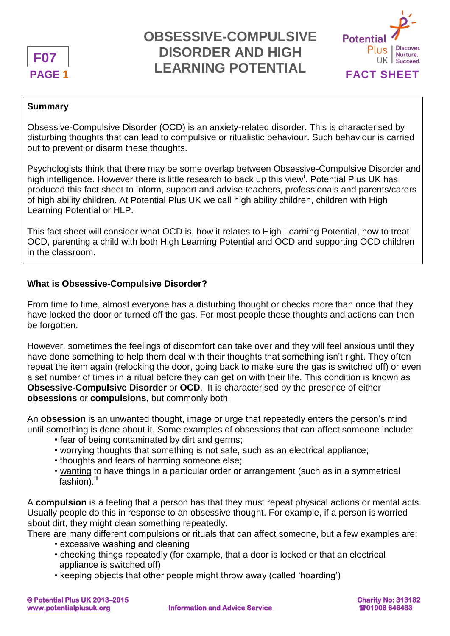

# PAGE 1 **FACT SHEET OBSESSIVE-COMPULSIVE DISORDER AND HIGH LEARNING POTENTIAL**



#### **Summary**

Obsessive-Compulsive Disorder (OCD) is an anxiety-related disorder. This is characterised by disturbing thoughts that can lead to compulsive or ritualistic behaviour. Such behaviour is carried out to prevent or disarm these thoughts.

Psychologists think that there may be some overlap between Obsessive-Compulsive Disorder and high intelligence. However there is little research to back up this view**<sup>i</sup>** . Potential Plus UK has produced this fact sheet to inform, support and advise teachers, professionals and parents/carers of high ability children. At Potential Plus UK we call high ability children, children with High Learning Potential or HLP.

This fact sheet will consider what OCD is, how it relates to High Learning Potential, how to treat OCD, parenting a child with both High Learning Potential and OCD and supporting OCD children in the classroom.

### **What is Obsessive-Compulsive Disorder?**

From time to time, almost everyone has a disturbing thought or checks more than once that they have locked the door or turned off the gas. For most people these thoughts and actions can then be forgotten.

However, sometimes the feelings of discomfort can take over and they will feel anxious until they have done something to help them deal with their thoughts that something isn't right. They often repeat the item again (relocking the door, going back to make sure the gas is switched off) or even a set number of times in a ritual before they can get on with their life. This condition is known as **Obsessive-Compulsive Disorder** or **OCD**. It is characterised by the presence of either **obsessions** or **compulsions**, but commonly both.

An **obsession** is an unwanted thought, image or urge that repeatedly enters the person's mind until something is done about it. Some examples of obsessions that can affect someone include:

- fear of being contaminated by dirt and germs;
- worrying thoughts that something is not safe, such as an electrical appliance;
- thoughts and fears of harming someone else;
- wanting to have things in a particular order or arrangement (such as in a symmetrical  $f$ ashion). $iii$

A **compulsion** is a feeling that a person has that they must repeat physical actions or mental acts. Usually people do this in response to an obsessive thought. For example, if a person is worried about dirt, they might clean something repeatedly.

There are many different compulsions or rituals that can affect someone, but a few examples are:

- excessive washing and cleaning
- checking things repeatedly (for example, that a door is locked or that an electrical appliance is switched off)
- keeping objects that other people might throw away (called 'hoarding')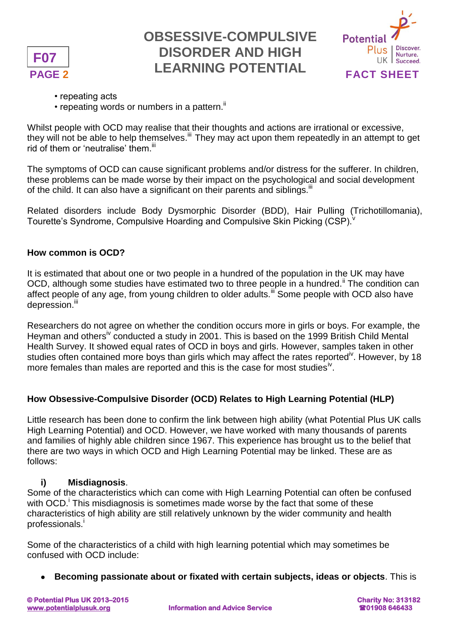

# PAGE 2 **FACT SHEET OBSESSIVE-COMPULSIVE DISORDER AND HIGH LEARNING POTENTIAL**



- repeating acts
- repeating words or numbers in a pattern.<sup>ii</sup>

Whilst people with OCD may realise that their thoughts and actions are irrational or excessive, they will not be able to help themselves.<sup>iii</sup> They may act upon them repeatedly in an attempt to get rid of them or 'neutralise' them.<sup>iii</sup>

The symptoms of OCD can cause significant problems and/or distress for the sufferer. In children, these problems can be made worse by their impact on the psychological and social development of the child. It can also have a significant on their parents and siblings.<sup>iii</sup>

Related disorders include Body Dysmorphic Disorder (BDD), Hair Pulling (Trichotillomania), Tourette's Syndrome, Compulsive Hoarding and Compulsive Skin Picking (CSP).

### **How common is OCD?**

It is estimated that about one or two people in a hundred of the population in the UK may have OCD, although some studies have estimated two to three people in a hundred.<sup>ii</sup> The condition can affect people of any age, from young children to older adults.<sup>iii</sup> Some people with OCD also have depression.<sup>iii</sup>

Researchers do not agree on whether the condition occurs more in girls or boys. For example, the Heyman and others<sup>iv</sup> conducted a study in 2001. This is based on the 1999 British Child Mental Health Survey. It showed equal rates of OCD in boys and girls. However, samples taken in other studies often contained more boys than girls which may affect the rates reported<sup>iv</sup>. However, by 18 more females than males are reported and this is the case for most studies<sup>iv</sup>.

## **How Obsessive-Compulsive Disorder (OCD) Relates to High Learning Potential (HLP)**

Little research has been done to confirm the link between high ability (what Potential Plus UK calls High Learning Potential) and OCD. However, we have worked with many thousands of parents and families of highly able children since 1967. This experience has brought us to the belief that there are two ways in which OCD and High Learning Potential may be linked. These are as follows:

### **i) Misdiagnosis**.

Some of the characteristics which can come with High Learning Potential can often be confused with OCD.<sup>i</sup> This misdiagnosis is sometimes made worse by the fact that some of these characteristics of high ability are still relatively unknown by the wider community and health professionals.<sup>i</sup>

Some of the characteristics of a child with high learning potential which may sometimes be confused with OCD include:

**Becoming passionate about or fixated with certain subjects, ideas or objects**. This is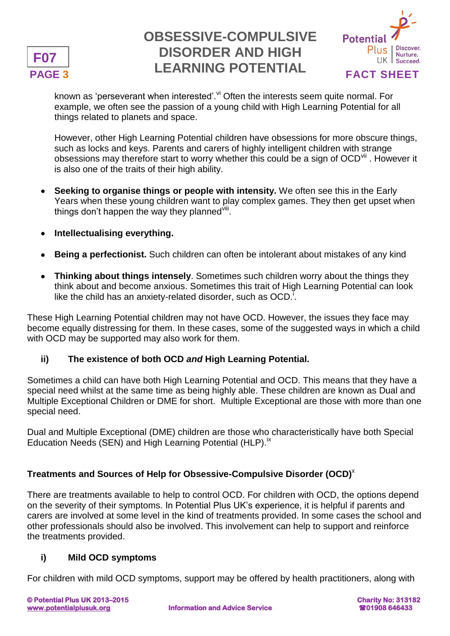

# PAGE 3 **FACT SHEET OBSESSIVE-COMPULSIVE DISORDER AND HIGH LEARNING POTENTIAL**



known as 'perseverant when interested'. Vi Often the interests seem quite normal. For example, we often see the passion of a young child with High Learning Potential for all things related to planets and space.

However, other High Learning Potential children have obsessions for more obscure things, such as locks and keys. Parents and carers of highly intelligent children with strange obsessions may therefore start to worry whether this could be a sign of OCD<sup>vii</sup>. However it is also one of the traits of their high ability.

- **Seeking to organise things or people with intensity.** We often see this in the Early Years when these young children want to play complex games. They then get upset when things don't happen the way they planned iii.
- **Intellectualising everything.**
- **Being a perfectionist.** Such children can often be intolerant about mistakes of any kind
- **Thinking about things intensely**. Sometimes such children worry about the things they think about and become anxious. Sometimes this trait of High Learning Potential can look like the child has an anxiety-related disorder, such as  $OCD$ .

These High Learning Potential children may not have OCD. However, the issues they face may become equally distressing for them. In these cases, some of the suggested ways in which a child with OCD may be supported may also work for them.

## **ii) The existence of both OCD** *and* **High Learning Potential.**

Sometimes a child can have both High Learning Potential and OCD. This means that they have a special need whilst at the same time as being highly able. These children are known as Dual and Multiple Exceptional Children or DME for short. Multiple Exceptional are those with more than one special need.

Dual and Multiple Exceptional (DME) children are those who characteristically have both Special Education Needs (SEN) and High Learning Potential (HLP).<sup>ix</sup>

## **Treatments and Sources of Help for Obsessive-Compulsive Disorder (OCD)**<sup>x</sup>

There are treatments available to help to control OCD. For children with OCD, the options depend on the severity of their symptoms. In Potential Plus UK's experience, it is helpful if parents and carers are involved at some level in the kind of treatments provided. In some cases the school and other professionals should also be involved. This involvement can help to support and reinforce the treatments provided.

## **i) Mild OCD symptoms**

For children with mild OCD symptoms, support may be offered by health practitioners, along with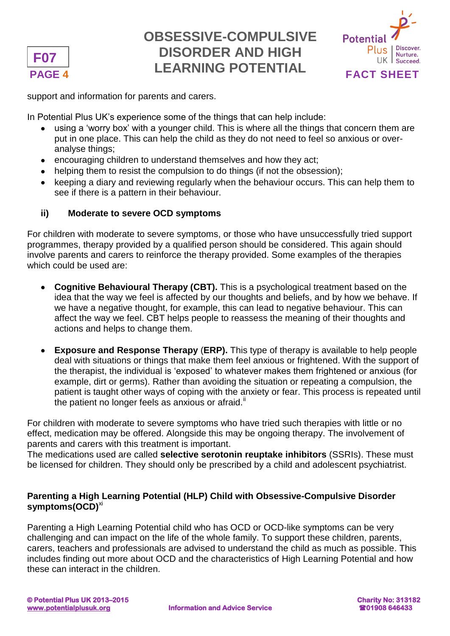

## **PAGE 4 FACT SHEET OBSESSIVE-COMPULSIVE DISORDER AND HIGH LEARNING POTENTIAL**



support and information for parents and carers.

In Potential Plus UK's experience some of the things that can help include:

- using a 'worry box' with a younger child. This is where all the things that concern them are put in one place. This can help the child as they do not need to feel so anxious or overanalyse things;
- encouraging children to understand themselves and how they act;
- helping them to resist the compulsion to do things (if not the obsession);
- keeping a diary and reviewing regularly when the behaviour occurs. This can help them to see if there is a pattern in their behaviour.

## **ii) Moderate to severe OCD symptoms**

For children with moderate to severe symptoms, or those who have unsuccessfully tried support programmes, therapy provided by a qualified person should be considered. This again should involve parents and carers to reinforce the therapy provided. Some examples of the therapies which could be used are:

- **Cognitive Behavioural Therapy (CBT).** This is a psychological treatment based on the idea that the way we feel is affected by our thoughts and beliefs, and by how we behave. If we have a negative thought, for example, this can lead to negative behaviour. This can affect the way we feel. CBT helps people to reassess the meaning of their thoughts and actions and helps to change them.
- **Exposure and Response Therapy** (**ERP).** This type of therapy is available to help people deal with situations or things that make them feel anxious or frightened. With the support of the therapist, the individual is 'exposed' to whatever makes them frightened or anxious (for example, dirt or germs). Rather than avoiding the situation or repeating a compulsion, the patient is taught other ways of coping with the anxiety or fear. This process is repeated until the patient no longer feels as anxious or afraid. $\mathbb{I}$

For children with moderate to severe symptoms who have tried such therapies with little or no effect, medication may be offered. Alongside this may be ongoing therapy. The involvement of parents and carers with this treatment is important.

The medications used are called **selective serotonin reuptake inhibitors** (SSRIs). These must be licensed for children. They should only be prescribed by a child and adolescent psychiatrist.

## **Parenting a High Learning Potential (HLP) Child with Obsessive-Compulsive Disorder symptoms(OCD)**xi

Parenting a High Learning Potential child who has OCD or OCD-like symptoms can be very challenging and can impact on the life of the whole family. To support these children, parents, carers, teachers and professionals are advised to understand the child as much as possible. This includes finding out more about OCD and the characteristics of High Learning Potential and how these can interact in the children.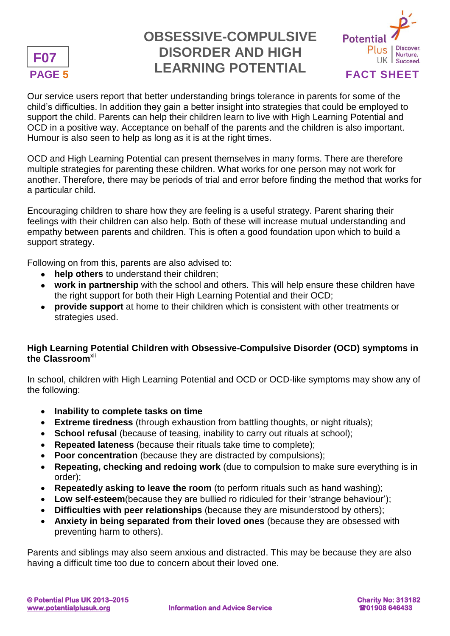

# PAGE 5 **FACT SHEET OBSESSIVE-COMPULSIVE DISORDER AND HIGH LEARNING POTENTIAL**



Our service users report that better understanding brings tolerance in parents for some of the child's difficulties. In addition they gain a better insight into strategies that could be employed to support the child. Parents can help their children learn to live with High Learning Potential and OCD in a positive way. Acceptance on behalf of the parents and the children is also important. Humour is also seen to help as long as it is at the right times.

OCD and High Learning Potential can present themselves in many forms. There are therefore multiple strategies for parenting these children. What works for one person may not work for another. Therefore, there may be periods of trial and error before finding the method that works for a particular child.

Encouraging children to share how they are feeling is a useful strategy. Parent sharing their feelings with their children can also help. Both of these will increase mutual understanding and empathy between parents and children. This is often a good foundation upon which to build a support strategy.

Following on from this, parents are also advised to:

- **help others** to understand their children;
- **work in partnership** with the school and others. This will help ensure these children have the right support for both their High Learning Potential and their OCD;
- **provide support** at home to their children which is consistent with other treatments or strategies used.

## **High Learning Potential Children with Obsessive-Compulsive Disorder (OCD) symptoms in the Classroom**xii

In school, children with High Learning Potential and OCD or OCD-like symptoms may show any of the following:

- **Inability to complete tasks on time**
- **Extreme tiredness** (through exhaustion from battling thoughts, or night rituals);
- **School refusal** (because of teasing, inability to carry out rituals at school);
- **Repeated lateness** (because their rituals take time to complete);
- **Poor concentration** (because they are distracted by compulsions);
- **Repeating, checking and redoing work** (due to compulsion to make sure everything is in order);
- **Repeatedly asking to leave the room** (to perform rituals such as hand washing);
- **Low self-esteem**(because they are bullied ro ridiculed for their 'strange behaviour');
- **Difficulties with peer relationships** (because they are misunderstood by others);
- **Anxiety in being separated from their loved ones** (because they are obsessed with preventing harm to others).

Parents and siblings may also seem anxious and distracted. This may be because they are also having a difficult time too due to concern about their loved one.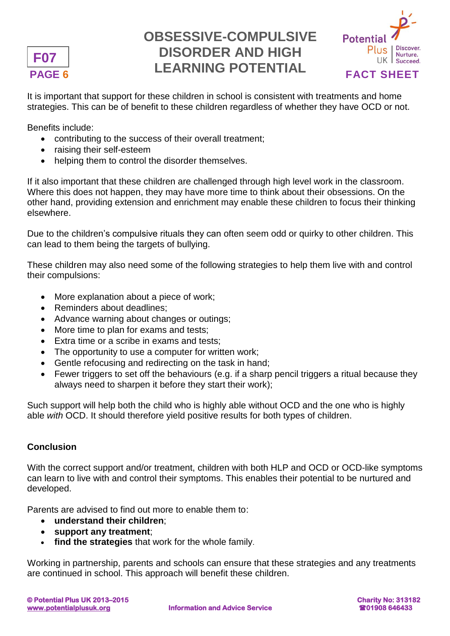

# **PAGE 6 FACT SHEET OBSESSIVE-COMPULSIVE DISORDER AND HIGH LEARNING POTENTIAL**



It is important that support for these children in school is consistent with treatments and home strategies. This can be of benefit to these children regardless of whether they have OCD or not.

Benefits include:

- contributing to the success of their overall treatment;
- raising their self-esteem
- helping them to control the disorder themselves.

If it also important that these children are challenged through high level work in the classroom. Where this does not happen, they may have more time to think about their obsessions. On the other hand, providing extension and enrichment may enable these children to focus their thinking elsewhere.

Due to the children's compulsive rituals they can often seem odd or quirky to other children. This can lead to them being the targets of bullying.

These children may also need some of the following strategies to help them live with and control their compulsions:

- More explanation about a piece of work;
- Reminders about deadlines:
- Advance warning about changes or outings;
- More time to plan for exams and tests;
- Extra time or a scribe in exams and tests:
- The opportunity to use a computer for written work;
- Gentle refocusing and redirecting on the task in hand;
- Fewer triggers to set off the behaviours (e.g. if a sharp pencil triggers a ritual because they always need to sharpen it before they start their work);

Such support will help both the child who is highly able without OCD and the one who is highly able *with* OCD. It should therefore yield positive results for both types of children.

### **Conclusion**

With the correct support and/or treatment, children with both HLP and OCD or OCD-like symptoms can learn to live with and control their symptoms. This enables their potential to be nurtured and developed.

Parents are advised to find out more to enable them to:

- **understand their children**;
- **support any treatment**;
- **find the strategies** that work for the whole family.

Working in partnership, parents and schools can ensure that these strategies and any treatments are continued in school. This approach will benefit these children.